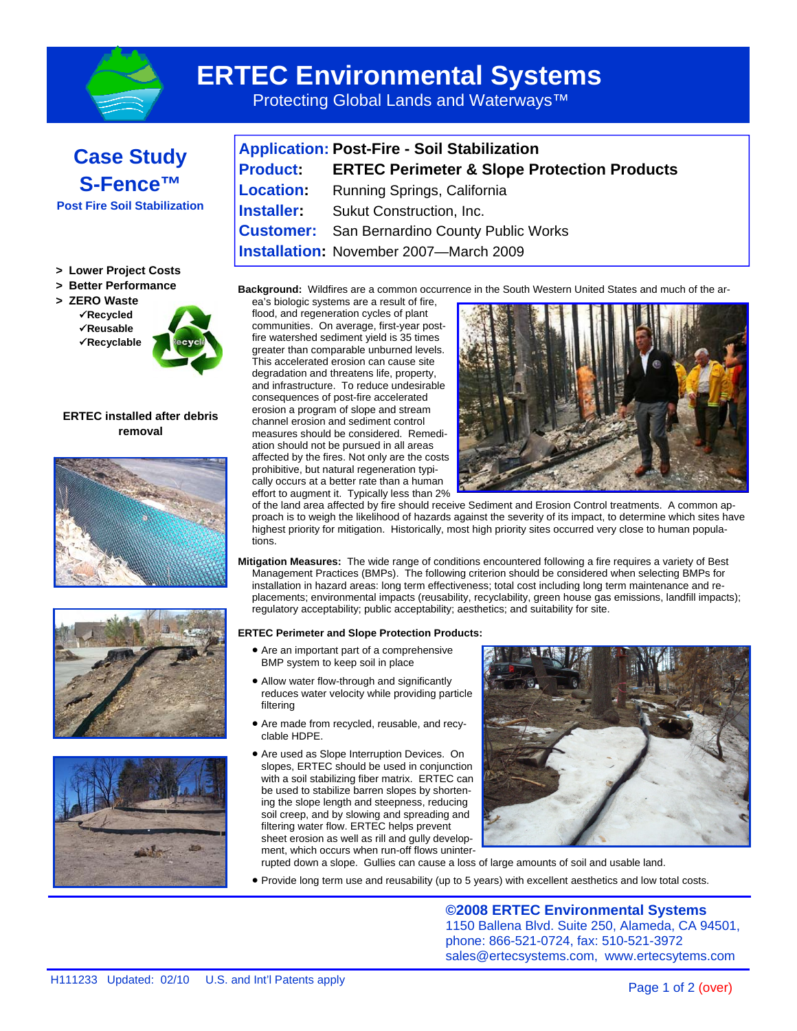

## **ERTEC Environmental Systems**

Protecting Global Lands and Waterways<sup>™</sup>



| <b>Application: Post-Fire - Soil Stabilization</b> |                                                             |  |
|----------------------------------------------------|-------------------------------------------------------------|--|
|                                                    | <b>Product:</b> ERTEC Perimeter & Slope Protection Products |  |
| <b>Location:</b>                                   | Running Springs, California                                 |  |
|                                                    | <b>Installer:</b> Sukut Construction, Inc.                  |  |
|                                                    | <b>Customer:</b> San Bernardino County Public Works         |  |
|                                                    | <b>Installation: November 2007-March 2009</b>               |  |

**Background:** Wildfires are a common occurrence in the South Western United States and much of the ar-

**> Lower Project Costs** 

## **> Better Performance**

**> ZERO Waste** 

 **Recycled Reusable** 

 **Recyclable** 



**ERTEC installed after debris removal** 







ea's biologic systems are a result of fire, flood, and regeneration cycles of plant communities. On average, first-year postfire watershed sediment yield is 35 times greater than comparable unburned levels. This accelerated erosion can cause site degradation and threatens life, property, and infrastructure. To reduce undesirable consequences of post-fire accelerated erosion a program of slope and stream channel erosion and sediment control measures should be considered. Remediation should not be pursued in all areas affected by the fires. Not only are the costs prohibitive, but natural regeneration typically occurs at a better rate than a human effort to augment it. Typically less than 2%



of the land area affected by fire should receive Sediment and Erosion Control treatments. A common approach is to weigh the likelihood of hazards against the severity of its impact, to determine which sites have highest priority for mitigation. Historically, most high priority sites occurred very close to human populations.

**Mitigation Measures:** The wide range of conditions encountered following a fire requires a variety of Best Management Practices (BMPs). The following criterion should be considered when selecting BMPs for installation in hazard areas: long term effectiveness; total cost including long term maintenance and replacements; environmental impacts (reusability, recyclability, green house gas emissions, landfill impacts); regulatory acceptability; public acceptability; aesthetics; and suitability for site.

## **ERTEC Perimeter and Slope Protection Products:**

- Are an important part of a comprehensive BMP system to keep soil in place
- Allow water flow-through and significantly reduces water velocity while providing particle filtering
- Are made from recycled, reusable, and recyclable HDPE.
- Are used as Slope Interruption Devices. On slopes, ERTEC should be used in conjunction with a soil stabilizing fiber matrix. ERTEC can be used to stabilize barren slopes by shortening the slope length and steepness, reducing soil creep, and by slowing and spreading and filtering water flow. ERTEC helps prevent sheet erosion as well as rill and gully development, which occurs when run-off flows uninter-



rupted down a slope. Gullies can cause a loss of large amounts of soil and usable land.

Provide long term use and reusability (up to 5 years) with excellent aesthetics and low total costs.

**©2008 ERTEC Environmental Systems**  1150 Ballena Blvd. Suite 250, Alameda, CA 94501, phone: 866-521-0724, fax: 510-521-3972 sales@ertecsystems.com, www.ertecsytems.com